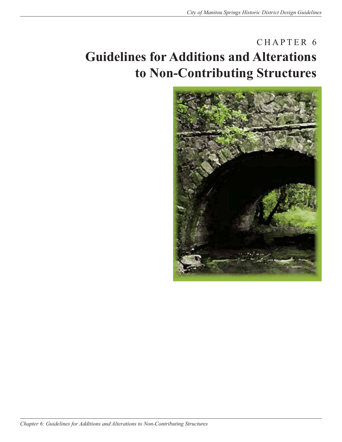# CHAPTER 6 **Guidelines for Additions and Alterations to Non-Contributing Structures**

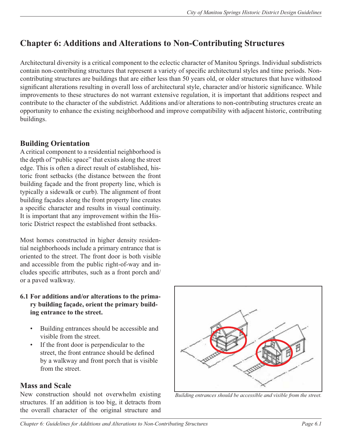## **Chapter 6: Additions and Alterations to Non-Contributing Structures**

Architectural diversity is a critical component to the eclectic character of Manitou Springs. Individual subdistricts contain non-contributing structures that represent a variety of specific architectural styles and time periods. Noncontributing structures are buildings that are either less than 50 years old, or older structures that have withstood significant alterations resulting in overall loss of architectural style, character and/or historic significance. While improvements to these structures do not warrant extensive regulation, it is important that additions respect and contribute to the character of the subdistrict. Additions and/or alterations to non-contributing structures create an opportunity to enhance the existing neighborhood and improve compatibility with adjacent historic, contributing buildings.

### **Building Orientation**

A critical component to a residential neighborhood is the depth of "public space" that exists along the street edge. This is often a direct result of established, historic front setbacks (the distance between the front building façade and the front property line, which is typically a sidewalk or curb). The alignment of front building façades along the front property line creates a specific character and results in visual continuity. It is important that any improvement within the Historic District respect the established front setbacks.

Most homes constructed in higher density residential neighborhoods include a primary entrance that is oriented to the street. The front door is both visible and accessible from the public right-of-way and includes specific attributes, such as a front porch and/ or a paved walkway.

- **6.1 For additions and/or alterations to the primary building façade, orient the primary building entrance to the street.**
	- Building entrances should be accessible and visible from the street.
	- If the front door is perpendicular to the street, the front entrance should be defined by a walkway and front porch that is visible from the street.

#### **Mass and Scale**

New construction should not overwhelm existing structures. If an addition is too big, it detracts from the overall character of the original structure and



*Building entrances should be accessible and visible from the street.*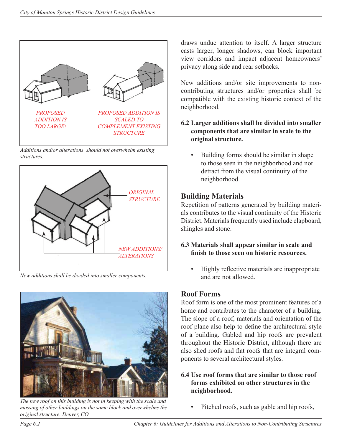

*Additions and/or alterations should not overwhelm existing structures.*



*New additions shall be divided into smaller components.* 



*The new roof on this building is not in keeping with the scale and massing of other buildings on the same block and overwhelms the original structure. Denver, CO*

draws undue attention to itself. A larger structure casts larger, longer shadows, can block important view corridors and impact adjacent homeowners' privacy along side and rear setbacks.

New additions and/or site improvements to noncontributing structures and/or properties shall be compatible with the existing historic context of the neighborhood.

#### **6.2 Larger additions shall be divided into smaller components that are similar in scale to the original structure.**

• Building forms should be similar in shape to those seen in the neighborhood and not detract from the visual continuity of the neighborhood.

#### **Building Materials**

Repetition of patterns generated by building materials contributes to the visual continuity of the Historic District. Materials frequently used include clapboard, shingles and stone.

#### **6.3 Materials shall appear similar in scale and fi nish to those seen on historic resources.**

Highly reflective materials are inappropriate and are not allowed.

#### **Roof Forms**

Roof form is one of the most prominent features of a home and contributes to the character of a building. The slope of a roof, materials and orientation of the roof plane also help to define the architectural style of a building. Gabled and hip roofs are prevalent throughout the Historic District, although there are also shed roofs and flat roofs that are integral components to several architectural styles.

#### **6.4 Use roof forms that are similar to those roof forms exhibited on other structures in the neighborhood.**

Pitched roofs, such as gable and hip roofs,